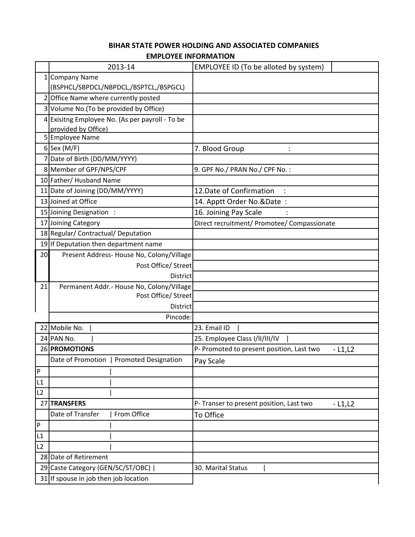## **EMPLOYEE INFORMATION BIHAR STATE POWER HOLDING AND ASSOCIATED COMPANIES**

|                | 2013-14                                          | EMPLOYEE ID (To be alloted by system)                 |  |  |  |  |
|----------------|--------------------------------------------------|-------------------------------------------------------|--|--|--|--|
|                | 1 Company Name                                   |                                                       |  |  |  |  |
|                | (BSPHCL/SBPDCL/NBPDCL,/BSPTCL,/BSPGCL)           |                                                       |  |  |  |  |
|                | 2 Office Name where currently posted             |                                                       |  |  |  |  |
|                | 3 Volume No. (To be provided by Office)          |                                                       |  |  |  |  |
|                | 4 Exisitng Employee No. (As per payroll - To be  |                                                       |  |  |  |  |
|                | provided by Office)                              |                                                       |  |  |  |  |
|                | 5 Employee Name                                  |                                                       |  |  |  |  |
|                | $6$ Sex (M/F)                                    | 7. Blood Group                                        |  |  |  |  |
|                | 7 Date of Birth (DD/MM/YYYY)                     |                                                       |  |  |  |  |
|                | 8 Member of GPF/NPS/CPF                          | 9. GPF No./ PRAN No./ CPF No.:                        |  |  |  |  |
|                | 10 Father/ Husband Name                          |                                                       |  |  |  |  |
|                | 11 Date of Joining (DD/MM/YYYY)                  | 12. Date of Confirmation<br>$\ddot{\cdot}$            |  |  |  |  |
|                | 13 Joined at Office                              | 14. Apptt Order No.&Date:                             |  |  |  |  |
|                | 15 Joining Designation:                          | 16. Joining Pay Scale                                 |  |  |  |  |
|                | 17 Joining Category                              | Direct recruitment/ Promotee/ Compassionate           |  |  |  |  |
|                | 18 Regular/ Contractual/ Deputation              |                                                       |  |  |  |  |
|                | 19 If Deputation then department name            |                                                       |  |  |  |  |
| 20             | Present Address- House No, Colony/Village        |                                                       |  |  |  |  |
|                | Post Office/ Street                              |                                                       |  |  |  |  |
|                | <b>District</b>                                  |                                                       |  |  |  |  |
| 21             | Permanent Addr.- House No, Colony/Village        |                                                       |  |  |  |  |
|                | Post Office/ Street                              |                                                       |  |  |  |  |
|                | District                                         |                                                       |  |  |  |  |
|                | Pincode:                                         |                                                       |  |  |  |  |
|                | 22 Mobile No.                                    | 23. Email ID                                          |  |  |  |  |
|                | 24 PAN No.                                       | 25. Employee Class I/II/III/IV                        |  |  |  |  |
|                | 26 PROMOTIONS                                    | P- Promoted to present position, Last two<br>$-L1,L2$ |  |  |  |  |
|                | Date of Promotion<br><b>Promoted Designation</b> | Pay Scale                                             |  |  |  |  |
| $\overline{P}$ |                                                  |                                                       |  |  |  |  |
| L1             |                                                  |                                                       |  |  |  |  |
| L2             |                                                  |                                                       |  |  |  |  |
|                | 27 TRANSFERS                                     | P- Transer to present position, Last two<br>$-L1,L2$  |  |  |  |  |
|                | Date of Transfer<br>From Office                  | To Office                                             |  |  |  |  |
| $\mathsf{P}$   |                                                  |                                                       |  |  |  |  |
| L1             |                                                  |                                                       |  |  |  |  |
| L2             |                                                  |                                                       |  |  |  |  |
|                | 28 Date of Retirement                            |                                                       |  |  |  |  |
|                | 29 Caste Category (GEN/SC/ST/OBC)                | 30. Marital Status                                    |  |  |  |  |
|                | 31 If spouse in job then job location            |                                                       |  |  |  |  |